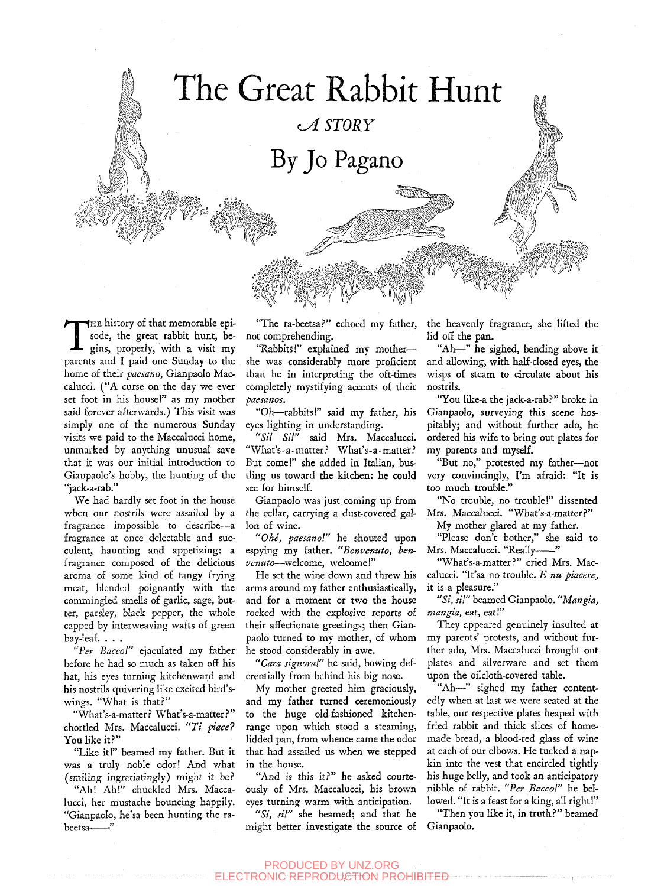# The Great Rabbit Hunt

*^ STORY* 

By Jo Pagano

THE history of that memorable episode, the great rabbit hunt, begins, properly, with a visit my parents and I paid one Sunday to the HE history of that memorable episode, the great rabbit hunt, begins, properly, with a visit my home of their *paesano,* Gianpaolo Maccalucci. ("A curse on the day we ever set foot in his house!" as my mother said forever afterwards.) This visit was simply one of the numerous Sunday visits we paid to the Maccalucci home, unmarked by anything unusual save that it was our initial introduction to Gianpaolo's hobby, the hunting of the "jack-a-rab."

*imrM&k* 

*'sXv} ~* 

We had hardly set foot in the house when our nostrils were assailed by a fragrance impossible to describe—a fragrance at once delectable and succulent, haunting and appetizing: a fragrance composed of the delicious aroma of some kind of tangy frying meat, blended poignantly with the commingled smells of garlic, sage, butter, parsley, black pepper, the whole capped by interweaving wafts of green bay-leaf. . . .

*"Per Baccol"* ejaculated my father before he had so much as taken off his hat, his eyes turning kitchenward and his nostrils quivering like excited bird'swings. "What is that?"

"What's-a-matter ? What's-a-matter*}"*  chortled Mrs. Maccalucci. *"Ti place?*  You like it?"

"Like it!" beamed my father. But it was a truly noble odor! And what (smiling ingratiatingly) might it be?

"Ah! Ah!" chuckled Mrs. Maccalucci, her mustache bouncing happily. "Gianpaolo, he'sa been hunting the rabeetsa-<sup>'</sup>

"The ra-beetsa?" echoed my father, not comprehending.

"Rabbits!" explained my mother she was considerably more proficient than he in interpreting the oft-times completely mystifying accents of their *paesanos.* 

"Oh—rabbits!" said my father, his eyes lighting in understanding.

*"Sil SH"* said Mrs. Maccalucci. "What's-a-matter? What's-a-matter? But come!" she added in Italian, bustling us toward the kitchen: he could see for himself.

Gianpaolo was just coming up from the cellar, carrying a dust-covered gallon of wine.

*"Ohe, paesano!"* he shouted upon espying my father. *"Benvenuto, benvenuto*—welcome, welcome!"

He set the wine down and threw his arms around my father enthusiastically, and for a moment or two the house rocked with the explosive reports of their affectionate greetings; then Gianpaolo turned to my mother, of whom he stood considerably in awe.

*"Cara signoral"* he said, bowing deferentially from behind his big nose.

My mother greeted him graciously, and my father turned ceremoniously to the huge old-fashioned kitchenrange upon which stood a steaming, lidded pan, from whence came the odor that had assailed us when we stepped in the house.

"And is this it?" he asked courteously of Mrs. Maccalucci, his brown eyes turning warm with anticipation.

*"Si, sil"* she beamed; and that he might better investigate the source of the heavenly fragrance, she lifted the lid off the pan.

"Ah—" he sighed, bending above it and allowing, with half-closed eyes, the wisps of steam to circulate about his nostrils.

"You like-a the jack-a-rab?" broke in Gianpaolo, surveying this scene hospitably; and without further ado, he ordered his wife to bring out plates for my parents and myself.

"But no," protested my father—^not very convincingly, I'm afraid: "It is too much trouble."

"No trouble, no trouble!" dissented Mrs. Maccalucci. "What's-a-matter?"

My mother glared at my father.

"Please don't bother," she said to Mrs. Maccalucci. "Really-"

"What's-a-matter?" cried Mrs. Maccalucci. "It'sa no trouble. *E nu piacere,*  it is a pleasure."

*"Si, sil"* beamed Gianpaolo. *"Mangia, mangia,* eat, eat!"

They appeared genuinely insulted at my parents' protests, and without further ado, Mrs. Maccalucci brought out plates and silverware and set them upon the oilcloth-covered table.

"Ah—" sighed my father contentedly when at last we were seated at the table, our respective plates heaped with fried rabbit and thick slices of homemade bread, a blood-red glass of wine at each of our elbows. He tucked a napkin into the vest that encircled tightly his huge belly, and took an anticipatory nibble of rabbit. *"Per Baccol"* he bellowed. "It is a feast for a king, all right!"

"Then you like it, in truth?" beamed Gianpaolo.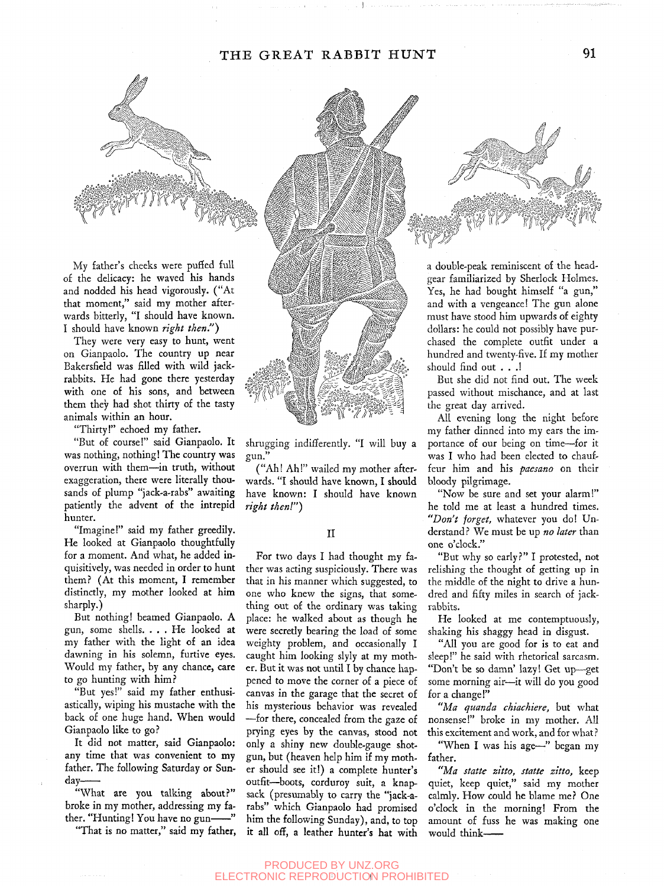### THE GREAT RABBIT HUNT 91



My father's cheeks were puffed full of the delicacy: he waved his hands and nodded his head vigorously. ("At that moment," said my mother afterwards bitterly, "I should have known. I should have known *right then.")* 

They were very easy to hunt, went on Gianpaolo. The country up near Bakersfield was filled with wild jackrabbits. He had gone there yesterday with one of his sons, and between them they had shot thirty of the tasty animals within an hour.

"Thirty!" echoed my father.

"But of course!" said Gianpaolo. It was nothing, nothing! The country was overrun with them—in truth, without exaggeration, there were literally thousands of plump "jack-a-rabs" awaiting patiently the advent of the intrepid hunter.

"Imagine!" said my father greedily. He looked at Gianpaolo thoughtfully for a moment. And what, he added inquisitively, was needed in order to hunt them? (At this moment, I remember distinctly, my mother looked at him sharply.)

But nothing! beamed Gianpaolo. A gun, some shells. . . . He looked at my father with the light of an idea dawning in his solemn, furtive eyes. Would my father, by any chance, care to go hunting with him.?

"But yes!" said my father enthusiastically, wiping his mustache with the back of one huge hand. When would Gianpaolo like to go.?

It did not matter, said Gianpaolo: any time that was convenient to my father. The following Saturday or Sunday

"What are you talking about?" broke in my mother, addressing my father. "Hunting! You have no gun— $"$ 

"That is no matter," said my father,



shrugging indifferently. "I will buy a gun."

("Ah! Ah!" wailed my mother afterwards. "I should have known, I should have known: I should have known *right then!")* 

#### II

For two days I had thought my father was acting suspiciously. There was that in his manner which suggested, to one who knew the signs, that something out of the ordinary was taking place: he walked about as though he were secretly bearing the load of some weighty problem, and occasionally I caught him looking slyly at my mother. But it was not until I by chance happened to move the corner of a piece of canvas in the garage that the secret of his mysterious behavior was revealed —for there, concealed from the gaze of prying eyes by the canvas, stood not only a shiny new double-gauge shotgun, but (heaven help him if my mother should see it!) a complete hunter's outfit—boots, corduroy suit, a knapsack (presumably to carry the "jack-arabs" which Gianpaolo had promised him the following Sunday), and, to top it all off, a leather hunter's hat with a double-peak reminiscent of the headgear familiarized by Sherlock Holmes. Yes, he had bought himself "a gun," and with a vengeance! The gun alone must have stood him upwards of eighty dollars: he could not possibly have purchased the complete outfit under a hundred and twenty-five. If my mother should find out . . .!

*mmmm^ rnxsEoMi^sf'., wWJiWHi^* 

But she did not find out. The week passed without mischance, and at last the great day arrived.

All evening long the night before my father dinned into my ears the importance of our being on time—for it was I who had been elected to chauffeur him and his *paesano* on their bloody pilgrimage.

"Now be sure and set your alarm!" he told me at least a hundred times. *"Don't forget,* whatever you do! Understand? We must be up *no later* than one o'clock."

"But why so early?" I protested, not relishing the thought of getting up in the middle of the night to drive a hundred and fifty miles in search of jackrabbits.

He looked at me contemptuously, shaking his shaggy head in disgust.

"All you are good for is to eat and sleep!" he said with rhetorical sarcasm. "Don't be so damn' lazy! Get up—get some morning air—^it will do you good for a change!"

*"Ma quanda chiachiere,* but what nonsense!" broke in my mother. All this excitement and work, and for what ?

"When I was his age—" began my father.

*"Ma statte zitto, statte zitto,* keep quiet, keep quiet," said my mother calmly. How could he blame me? One o'clock in the morning! From the amount of fuss he was making one would think *-*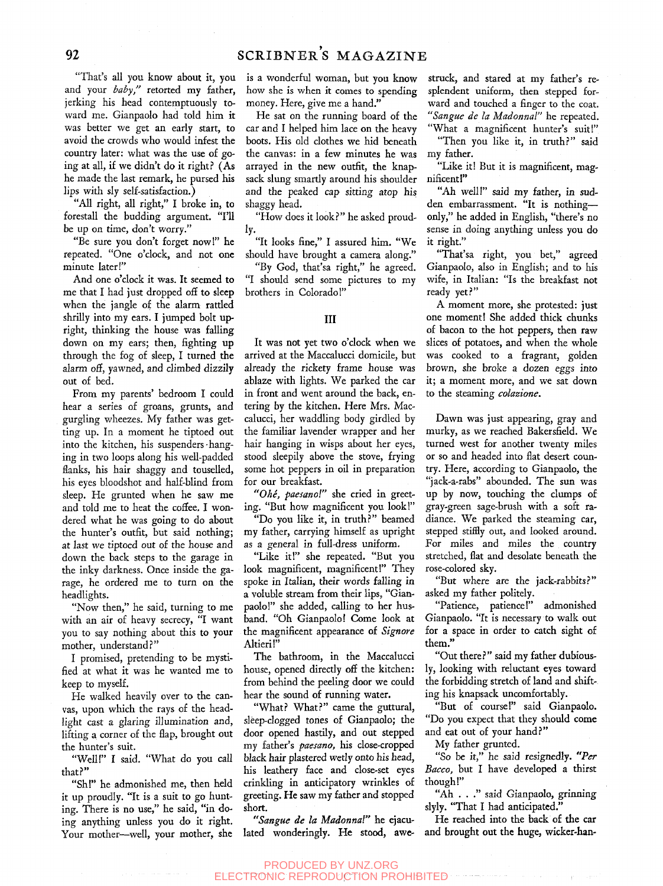"That's all you know about it, you and your *baby"* retorted my father, jerking his head contemptuously toward me. Gianpaolo had told him it was better we get an early start, to avoid the crowds who would infest the country later: what was the use of going at all, if we didn't do it right? (As he made the last remark, he pursed his lips with sly self-satisfaction.)

"All right, all right," I broke in, to forestall the budding argument. "I'll be up on time, don't worry."

"Be sure you don't forget now!" he repeated. "One o'clock, and not one minute later!"

And one o'clock it was. It seemed to me that I had just dropped off to sleep when the jangle of the alarm rattled shrilly into my ears. I jumped bolt upright, thinking the house was falling down on my ears; then, fighting up through the fog of sleep, I turned the alarm off, yawned, and climbed dizzily out of bed.

From my parents' bedroom I could hear a series of groans, grunts, and gurgling wheezes. My father was getting up. In a moment he tiptoed out into the kitchen, his suspenders-hanging in two loops along his well-padded flanks, his hair shaggy and touselled, his eyes bloodshot and half-blind from sleep. He grunted when he saw me and told me to heat the coffee. I wondered what he was going to do about the hunter's outfit, but said nothing; at last we tiptoed out of the house and down the back steps to the garage in the inky darkness. Once inside the garage, he ordered me to turn on the headlights.

"Now then," he said, turning to me with an air of heavy secrecy, "I want you to say nothing about this to your mother, understand?"

I promised, pretending to be mystified at what it was he wanted me to keep to myself.

He walked heavily over to the canvas, upon which the rays of the headlight cast a glaring illumination and, lifting a corner of the flap, brought out the hunter's suit.

"Well!" I said. "What do you call that?"

"Sh!" he admonished me, then held it up proudly. "It is a suit to go hunting. There is no use," he said, "in doing anything unless you do it right. Your mother—well, your mother, she is a wonderful woman, but you know how she is when it comes to spending money. Here, give me a hand."

He sat on the running board of the car and I helped him lace on the heavy boots. His old clothes we hid beneath the canvas: in a few minutes he was arrayed in the new outfit, the knapsack slung smardy around his shoulder and the peaked cap sitting atop his shaggy head.

"How does it look?" he asked proudly.

"It looks fine," I assured him. "We should have brought a camera along."

"By God, that'sa right," he agreed. "I should send some pictures to my brothers in Colorado!"

#### Ill

It was not yet two o'clock when we arrived at the Maccalucci domicile, but already the rickety frame house was ablaze with lights. We parked the car in front and went around the back, entering by the kitchen. Here Mrs. Maccalucci, her waddling body girdled by the familiar lavender wrapper and her hair hanging in wisps about her eyes, stood sleepily above the stove, frying some hot peppers in oil in preparation for our breakfast.

*"Ohe, paesanol"* she cried in greeting. "But how magnificent you look!"

"Do you like it, in truth?" beamed my father, carrying himself as upright as a general in full-dress uniform.

"Like it!" she repeated. "But you look magnificent, magnificent!" They spoke in Italian, their words falling in a voluble stream from their lips, "Gianpaolo!" she added, calling to her husband. "Oh Gianpaolo! Come look at the magnificent appearance of *Signore*  Altieri!"

The bathroom, in the Maccalucci house, opened directly off the kitchen: from behind the peeling door we could hear the sound of running water.

"What? What?" came the guttural, sleep-clogged tones of Gianpaolo; the door opened hastily, and out stepped my father's *paesano,* his close-cropped black hair plastered weriy onto his head, his leathery face and close-set eyes crinkling in anticipatory wrinkles of greeting. He saw my father and stopped short.

*"Sangue de la Madonna!"* he ejaculated wonderingly. He stood, awe-

struck, and stared at my father's resplendent uniform, then stepped forward and touched a finger to the coat. *"Sangue de la Madonnal"* he repeated. "What a magnificent hunter's suit!"

"Then you like it, in truth?" said my father.

"Like it! But it is magnificent, magnificent!"

"Ah well!" said my father, in sudden embarrassment. "It is nothing only," he added in English, "there's no sense in doing anything unless you do it right."

"That'sa right, you bet," agreed Gianpaolo, also in English; and to his wife, in Italian: "Is the breakfast not ready yet?"

A moment more, she protested: just one moment! She added thick chunks of bacon to the hot peppers, then raw slices of potatoes, and when the whole was cooked to a fragrant, golden brown, she broke a dozen eggs into it; a moment more, and we sat down to the steaming *colazione.* 

Dawn was just appearing, gray and murky, as we reached Bakersfield. We turned west for another twenty miles or so and headed into flat desert country. Here, according to Gianpaolo, the "jack-a-rabs" abounded. The sun was up by now, touching the clumps of gray-green sage-brush with a soft radiance. We parked the steaming car, stepped stiffly out, and looked around. For miles and miles the country stretched, flat and desolate beneath the rose-colored sky.

"But where are the jack-rabbits?" asked my father politely.

"Patience, patience!" admonished Gianpaolo. "It is necessary to walk out for a space in order to catch sight of them."

"Out there?" said my father dubiously, looking with reluctant eyes toward the forbidding stretch of land and shifting his knapsack uncomfortably.

"But of course!" said Gianpaolo. "Do you expect that they should come and eat out of your hand?"

My father grunted.

"So be it," he said resignedly. *"Per Bacco,* but I have developed a thirst though!"

"Ah . . ." said Gianpaolo, grinning slyly. "That I had anticipated."

He reached into the back of the car and brought out the huge, wicker-han-

PRODUCED BY UNZ.ORG ELECTRONIC REPRODUCTION PROHIBITED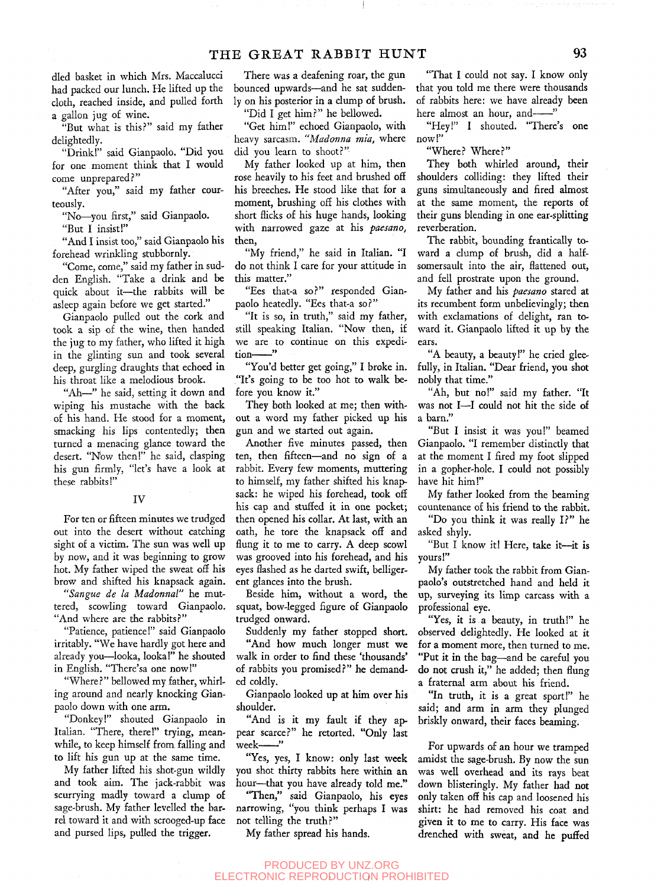died basket in which Mrs. Maccalucci had packed our lunch. He lifted up the cloth, reached inside, and pulled forth a gallon jug of wine.

"But what is this?" said my father delightedly.

"Drink!" said Gianpaolo. "Did you for one moment think that I would come unprepared.?"

"After you," said my father courteously.

"No-you first," said Gianpaolo.

"But I insist!"

"And I insist too," said Gianpaolo his forehead wrinkling stubbornly.

"Come, come," said my father in sudden English. "Take a drink and be quick about it—^the rabbits will be asleep again before we get started."

Gianpaolo pulled out the cork and took a sip of the wine, then handed the jug to my father, who lifted it high in the glinting sun and took several deep, gurgling draughts that echoed in his throat like a melodious brook.

"Ah—" he said, setting it down and wiping his mustache with the back of his hand. He stood for a moment, smacking his lips contentedly; then turned a menacing glance toward the desert. "Now then!" he said, clasping his gun firmly, "let's have a look at these rabbits!"

#### IV

For ten or fifteen minutes we trudged out into the desert without catching sight of a victim. The sun was well up by now, and it was beginning to grow hot. My father wiped the sweat off his brow and shifted his knapsack again.

*"Sangue de la Madonnal"* he muttered, scowling toward Gianpaolo. "And where are the rabbits?"

"Patience, patience!" said Gianpaolo irritably. "We have hardly got here and already you—^looka, looka!" he shouted in English. "There'sa one now!"

"Where?" bellowed my father, whirling around and nearly knocking Gianpaolo down with one arm.

"Donkey!" shouted Gianpaolo in Italian. "There, there!" trying, meanwhile, to keep himself from falling and to lift his gun up at the same time.

My father lifted his shot-gun wildly and took aim. The jack-rabbit was scurrying madly toward a clump of sage-brush. My father levelled the barrel toward it and with scrooged-up face and pursed lips, pulled the trigger.

There was a deafening roar, the gun bounced upwards—and he sat suddenly on his posterior in a clump of brush.

"Did I get him?" he bellowed.

"Get him!" echoed Gianpaolo, with heavy sarcasm. *"Madonna mia,* where did you learn to shoot?"

My father looked up at him, then rose heavily to his feet and brushed off his breeches. He stood like that for a moment, brushing off his clothes with short flicks of his huge hands, looking with narrowed gaze at his *paesano,*  then,

"My friend," he said in Italian. "I do not think I care for your attitude in this matter."

"Ees that-a so?" responded Gianpaolo heatedly. "Ees that-a so?"

"It is so, in truth," said my father, still speaking Italian. "Now then, if we are to continue on this expedition-"

"You'd better get going," I broke in. "It's going to be too hot to walk before you know it."

They both looked at me; then without a word my father picked up his gun and we started out again.

Another five minutes passed, then ten, then fifteen—and no sign of a rabbit. Every few moments, muttering to himself, my father shifted his knapsack: he wiped his forehead, took off his cap and stuffed it in one pocket; then opened his collar. At last, with an oath, he tore the knapsack off and flung it to me to carry. A deep scowl was grooved into his forehead, and his eyes flashed as he darted swift, belligerent glances into the brush.

Beside him, without a word, the squat, bow-legged figure of Gianpaolo trudged onward.

Suddenly my father stopped short.

"And how much longer must we walk in order to find these 'thousands' of rabbits you promised?" he demanded coldly.

Gianpaolo looked up at him over his shoulder.

"And is it my fault if they appear scarce?" he retorted. "Only last week-

"Yes, yes, I know: only last week you shot thirty rabbits here within an hour—that you have already told me."

"Then," said Gianpaolo, his eyes narrowing, "you think perhaps I was not telling the truth?"

My father spread his hands.

"That I could not say. I know only that you told me there were thousands of rabbits here: we have already been here almost an hour, and-"

"Hey!" I shouted. "There's one now!"

"Where? Where?"

They both whirled around, their shoulders colliding: they lifted their guns simultaneously and fired almost at the same moment, the reports of their guns blending in one ear-splitting reverberation.

The rabbit, bounding frantically toward a clump of brush, did a halfsomersault into the air, flattened out, and fell prostrate upon the ground.

My father and his *paesano* stared at its recumbent form unbelievingly; then with exclamations of delight, ran toward it. Gianpaolo lifted it up by the ears.

"A beauty, a beauty!" he cried gleefully, in Italian. "Dear friend, you shot nobly that time."

"Ah, but no!" said my father. "It was not I—I could not hit the side of a barn."

"But I insist it was you!" beamed Gianpaolo. "I remember distinctly that at the moment I fired my foot slipped in a gopher-hole. I could not possibly have hit him!"

My father looked from the beaming countenance of his friend to the rabbit.

"Do you think it was really  $\Gamma$ " he asked shyly.

"But I know it! Here, take it—^it is yours!"

My father took the rabbit from Gianpaolo's outstretched hand and held it up, surveying its limp carcass with a professional eye.

"Yes, it is a beauty, in truth!" he observed delightedly. He looked at it for a moment more, then turned to me. "Put it in the bag—and be careful you do not crush it," he added; then flung a fraternal arm about his friend.

"In truth, it is a great sport!" he said; and arm in arm they plunged briskly onward, their faces beaming.

For upwards of an hour we tramped amidst the sage-brush. By now the sun was well overhead and its rays beat down blisteringly. My father had not only taken off his cap and loosened his shirt: he had removed his coat and given it to me to carry. His face was drenched with sweat, and he puffed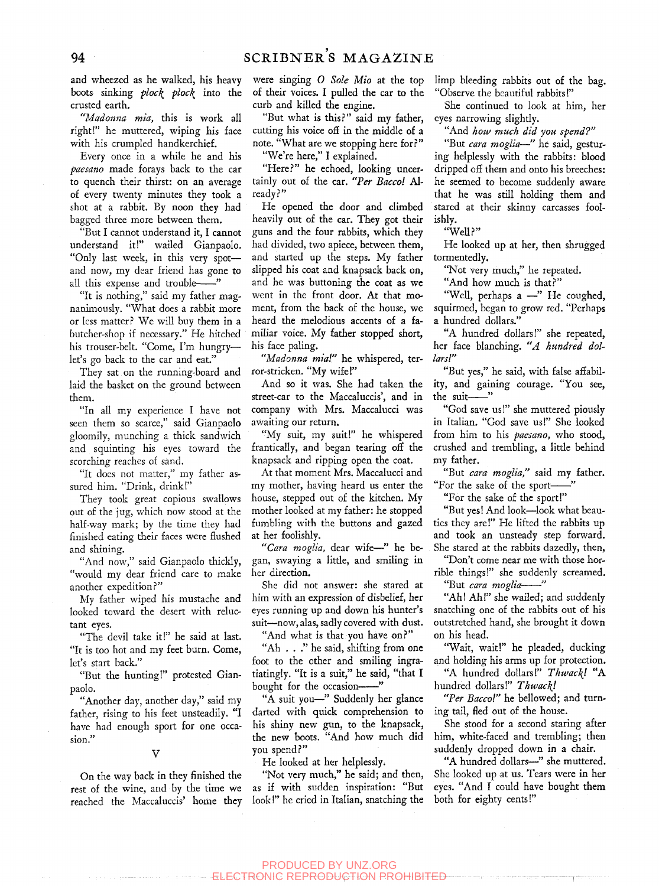and wheezed as he walked, his heavy boots sinking *ploc\ ploc\* into the crusted earth.

*"Madonna mia,* this is work all right!" he muttered, wiping his face with his crumpled handkerchief.

Every once in a while he and his *paesano* made forays back to the car to quench their thirst: on an average of every twenty minutes they took a shot at a rabbit. By noon they had bagged three more between them.

"But I cannot understand it, I cannot understand it!" wailed Gianpaolo. "Only last week, in this very spot and now, my dear friend has gone to all this expense and trouble-

"It is nothing," said my father magnanimously. "What does a rabbit more or less matter? We will buy them in a butcher-shop if necessary." He hitched his trouser-belt. "Come, I'm hungry let's go back to the car and eat."

They sat on the running-board and laid the basket on the ground between them.

"In all my experience I have not seen them so scarce," said Gianpaolo gloomily, munching a thick sandwich and squinting his eyes toward the scorching reaches of sand.

"It does not matter," my father assured him. "Drink, drink!"

They took great copious swallows out of the jug, which now stood at the half-way mark; by the time they had finished eating their faces were flushed and shining.

"And now," said Gianpaolo thickly, "would my dear friend care to make another expedition?"

My father wiped his mustache and looked toward the desert with reluctant eyes.

"The devil take it!" he said at last. "It is too hot and my feet burn. Come, let's start back."

"But the hunting!" protested Gianpaolo.

"Another day, another day," said my father, rising to his feet unsteadily. "I have had enough sport for one occasion.

#### V

On the way back in they finished the rest of the wine, and by the time we reached the Maccaluccis' home they were singing *0 Sole Mio* at the top of their voices. I pulled the car to the curb and killed the engine.

"But what is this?" said my father, cutting his voice off in the middle of a note. "What are we stopping here for?" "We're here," I explained.

"Here?" he echoed, looking uncertainly out of the car. *"Per Baccol* Already?"

He opened the door and climbed heavily out of the car. They got their guns and the four rabbits, which they had divided, two apiece, between them, and started up the steps. My father slipped his coat and knapsack back on, and he was buttoning the coat as we went in the front door. At that moment, from the back of the house, we heard the melodious accents of a familiar voice. My father stopped short, his face paling.

*"Madonna mia!"* he whispered, terror-stricken. "My wife!"

And so it was. She had taken the street-car to the Maccaluccis', and in company with Mrs. Maccalucci was awaiting our return.

"My suit, my suit!" he whispered frantically, and began tearing off the knapsack and ripping open the coat.

At that moment Mrs. Maccalucci and my mother, having heard us enter the house, stepped out of the kitchen. My mother looked at my father: he stopped fumbling with the buttons and gazed at her foolishly.

*"Cara moglia,* dear wife—" he began, swaying a little, and smiling in her direction.

She did not answer: she stared at him with an expression of disbelief, her eyes running up and down his hunter's suit—now, alas, sadly covered with dust.

"And what is that you have on?"

"Ah . . ." he said, shifting from one foot to the other and smiling ingratiatingly. "It is a suit," he said, "that I bought for the occasion-

"A suit you—" Suddenly her glance darted with quick comprehension to his shiny new gun, to the knapsack, the new boots. "And how much did you spend?"

He looked at her helplessly.

"Not very much," he said; and then, as if with sudden inspiration: "But look!" he cried in Italian, snatching the limp bleeding rabbits out of the bag. "Observe the beautiful rabbits!"

She continued to look at him, her eyes narrowing slighdy.

"And *how much did you spend?"* 

"But *cara moglia*—" he said, gesturing helplessly with the rabbits: blood dripped off them and onto his breeches: he seemed to become suddenly aware that he was still holding them and stared at their skinny carcasses foolishly.

"Well?"

He looked up at her, then shrugged tormentedly.

"Not very much," he repeated.

"And how much is that?"

"Well, perhaps a —" He coughed, squirmed, began to grow red. "Perhaps a hundred dollars."

"A hundred dollars!" she repeated, her face blanching. *"A hundred dollarsl"* 

"But yes," he said, with false affability, and gaining courage. "You see, the suit-"

"God save us!" she muttered piously in Italian. "God save us!" She looked from him to his *paesano,* who stood, crushed and trembling, a little behind my father.

"But *cara moglia,"* said my father. "For the sake of the sport-

"For the sake of the sport!"

"But yes! And look—look what beauties they are!" He lifted the rabbits up and took an unsteady step forward. She stared at the rabbits dazedly, then,

"Don't come near me with those horrible things!" she suddenly screamed. "But cara moglia-"

"Ah! Ah!" she wailed; and suddenly snatching one of the rabbits out of his outstretched hand, she brought it down on his head.

"Wait, wait!" he pleaded, ducking and holding his arms up for protection.

"A hundred dollars!" Thwack! "A hundred dollars!" *Thwac\l* 

*"Per Baccol"* he bellowed; and turning tail, fled out of the house.

She stood for a second staring after him, white-faced and trembling; then suddenly dropped down in a chair.

"A hundred dollars—" she muttered. She looked up at us. Tears were in her eyes. "And I could have bought them both for eighty cents!"

#### PRODUCED BY UNZ.ORG **CTRONIC REPRODUCTION PROHIBITED**